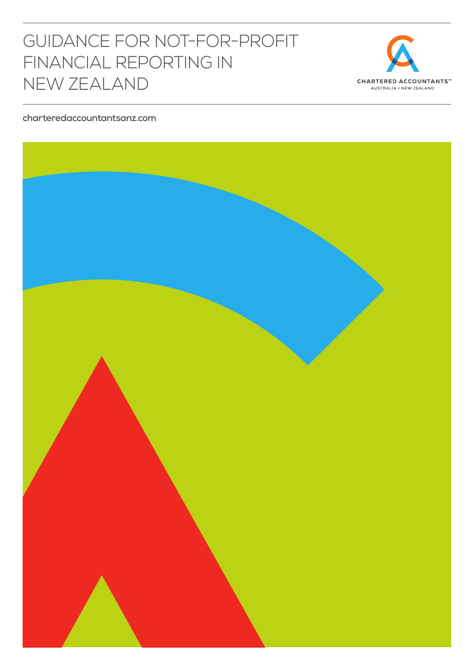# GUIDANCE FOR NOT-FOR-PROFIT FINANCIAL REPORTING IN NEW ZEALAND



**[charteredaccountantsanz.com](http://www.charteredaccountantsanz.com)**

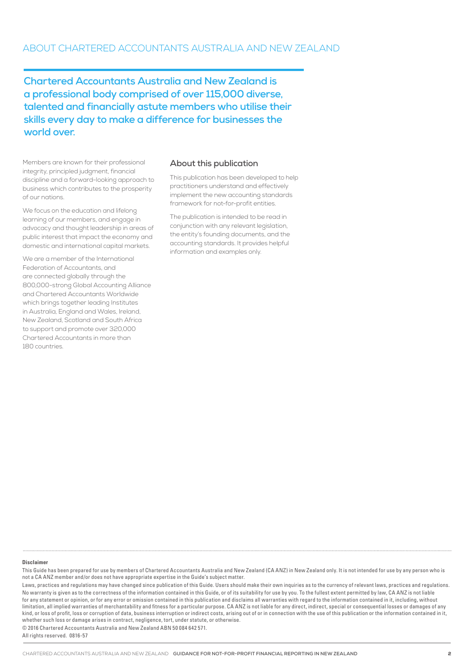**Chartered Accountants Australia and New Zealand is a professional body comprised of over 115,000 diverse, talented and financially astute members who utilise their skills every day to make a difference for businesses the world over.** 

Members are known for their professional integrity, principled judgment, financial discipline and a forward-looking approach to business which contributes to the prosperity of our nations.

We focus on the education and lifelong learning of our members, and engage in advocacy and thought leadership in areas of public interest that impact the economy and domestic and international capital markets.

We are a member of the International Federation of Accountants, and are connected globally through the 800,000-strong Global Accounting Alliance and Chartered Accountants Worldwide which brings together leading Institutes in Australia, England and Wales, Ireland, New Zealand, Scotland and South Africa to support and promote over 320,000 Chartered Accountants in more than 180 countries.

### **About this publication**

This publication has been developed to help practitioners understand and effectively implement the new accounting standards framework for not-for-profit entities.

The publication is intended to be read in conjunction with any relevant legislation, the entity's founding documents, and the accounting standards. It provides helpful information and examples only.

#### **Disclaimer**

This Guide has been prepared for use by members of Chartered Accountants Australia and New Zealand (CA ANZ) in New Zealand only. It is not intended for use by any person who is not a CA ANZ member and/or does not have appropriate expertise in the Guide's subject matter.

Laws, practices and regulations may have changed since publication of this Guide. Users should make their own inquiries as to the currency of relevant laws, practices and regulations. No warranty is given as to the correctness of the information contained in this Guide, or of its suitability for use by you. To the fullest extent permitted by law, CA ANZ is not liable for any statement or opinion, or for any error or omission contained in this publication and disclaims all warranties with regard to the information contained in it, including, without limitation, all implied warranties of merchantability and fitness for a particular purpose. CA ANZ is not liable for any direct, indirect, special or consequential losses or damages of any kind, or loss of profit, loss or corruption of data, business interruption or indirect costs, arising out of or in connection with the use of this publication or the information contained in it, whether such loss or damage arises in contract, negligence, tort, under statute, or otherwise.

© 2016 Chartered Accountants Australia and New Zealand ABN 50 084 642 571.

All rights reserved. 0816-57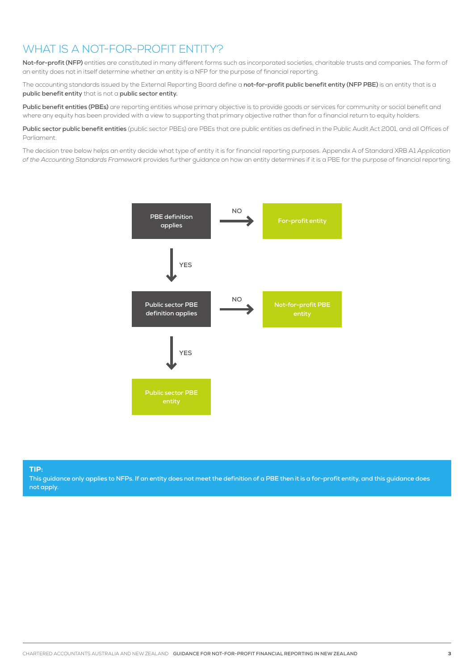# WHAT IS A NOT-FOR-PROFIT ENTITY?

**Not-for-profit (NFP)** entities are constituted in many different forms such as incorporated societies, charitable trusts and companies. The form of an entity does not in itself determine whether an entity is a NFP for the purpose of financial reporting.

The accounting standards issued by the External Reporting Board define a **not-for-profit public benefit entity (NFP PBE)** is an entity that is a **public benefit entity** that is not a **public sector entity.**

Public benefit entities (PBEs) are reporting entities whose primary objective is to provide goods or services for community or social benefit and where any equity has been provided with a view to supporting that primary objective rather than for a financial return to equity holders.

**Public sector public benefit entities** (public sector PBEs) are PBEs that are public entities as defined in the Public Audit Act 2001, and all Offices of Parliament.

The decision tree below helps an entity decide what type of entity it is for financial reporting purposes. Appendix A of Standard XRB A1 *Application of the Accounting Standards Framework* provides further guidance on how an entity determines if it is a PBE for the purpose of financial reporting.



#### TIP:

**This guidance only applies to NFPs. If an entity does not meet the definition of a PBE then it is a for-profit entity, and this guidance does not apply.**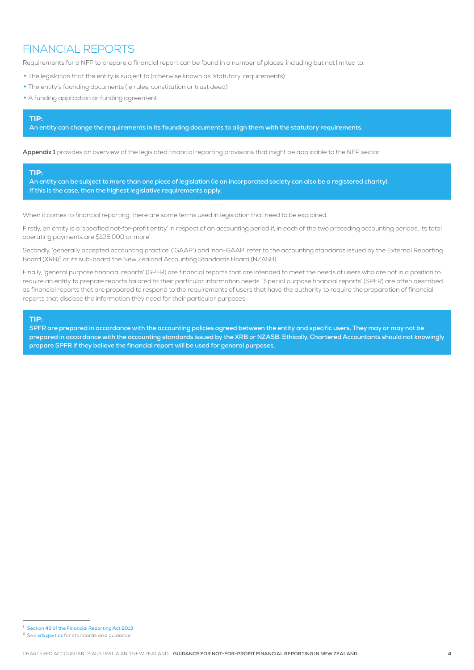### FINANCIAL REPORTS

Requirements for a NFP to prepare a financial report can be found in a number of places, including but not limited to:

- •The legislation that the entity is subject to (otherwise known as 'statutory' requirements)
- •The entity's founding documents (ie rules, constitution or trust deed)
- •A funding application or funding agreement.

### TIP:

**An entity can change the requirements in its founding documents to align them with the statutory requirements.**

**Appendix 1** provides an overview of the legislated financial reporting provisions that might be applicable to the NFP sector.

#### TIP:

**An entity can be subject to more than one piece of legislation (ie an incorporated society can also be a registered charity). If this is the case, then the highest legislative requirements apply.**

When it comes to financial reporting, there are some terms used in legislation that need to be explained.

Firstly, an entity is a 'specified not-for-profit entity' in respect of an accounting period if, in each of the two preceding accounting periods, its total operating payments are \$125,000 or more<sup>1</sup>.

Secondly, 'generally accepted accounting practice' ('GAAP') and 'non-GAAP' refer to the accounting standards issued by the External Reporting Board (XRB)2 or its sub-board the New Zealand Accounting Standards Board (NZASB).

Finally, 'general purpose financial reports' (GPFR) are financial reports that are intended to meet the needs of users who are not in a position to require an entity to prepare reports tailored to their particular information needs. 'Special purpose financial reports' (SPFR) are often described as financial reports that are prepared to respond to the requirements of users that have the authority to require the preparation of financial reports that disclose the information they need for their particular purposes.

#### TIP:

**SPFR are prepared in accordance with the accounting policies agreed between the entity and specific users. They may or may not be prepared in accordance with the accounting standards issued by the XRB or NZASB. Ethically, Chartered Accountants should not knowingly prepare SPFR if they believe the financial report will be used for general purposes.**

<sup>2</sup> See **[xrb.govt.nz](https://www.xrb.govt.nz/Site/Home/default.aspx)** for standards and guidance

<sup>1</sup> **[Section 46 of the Financial Reporting Act 2013](http://www.legislation.govt.nz/act/public/2013/0101/latest/DLM4632962.html)**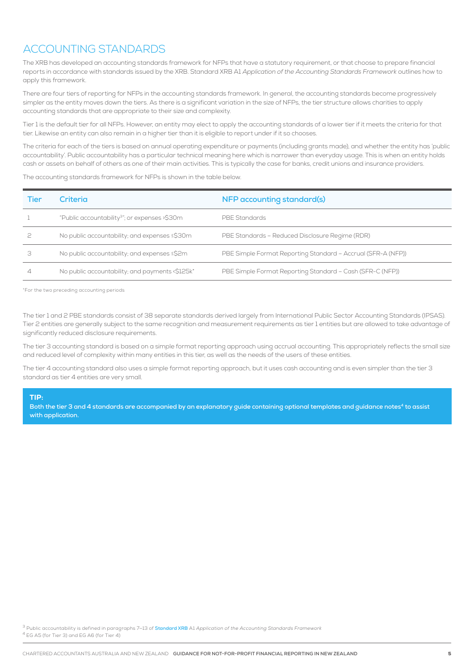## ACCOUNTING STANDARDS

The XRB has developed an accounting standards framework for NFPs that have a statutory requirement, or that choose to prepare financial reports in accordance with standards issued by the XRB. [Standard XRB](https://www.xrb.govt.nz/Site/Accounting_Standards/Current_Standards/Standards_for_Not-For_Profit_PBEs/Stds_for_Not-For-Profit_T1-4.aspx) A1 *Application of the Accounting Standards Framework* outlines how to apply this framework.

There are four tiers of reporting for NFPs in the accounting standards framework. In general, the accounting standards become progressively simpler as the entity moves down the tiers. As there is a significant variation in the size of NFPs, the tier structure allows charities to apply accounting standards that are appropriate to their size and complexity.

Tier 1 is the default tier for all NFPs. However, an entity may elect to apply the accounting standards of a lower tier if it meets the criteria for that tier. Likewise an entity can also remain in a higher tier than it is eligible to report under if it so chooses.

The criteria for each of the tiers is based on annual operating expenditure or payments (including grants made), and whether the entity has 'public accountability'. Public accountability has a particular technical meaning here which is narrower than everyday usage. This is when an entity holds cash or assets on behalf of others as one of their main activities. This is typically the case for banks, credit unions and insurance providers.

The accounting standards framework for NFPs is shown in the table below.

| Tier | Criteria                                                  | NFP accounting standard(s)                                   |
|------|-----------------------------------------------------------|--------------------------------------------------------------|
|      | "Public accountability <sup>3</sup> "; or expenses >\$30m | <b>PBE Standards</b>                                         |
|      | No public accountability; and expenses s\$30m             | PBE Standards - Reduced Disclosure Regime (RDR)              |
| 3    | No public accountability; and expenses s\$2m              | PBE Simple Format Reporting Standard - Accrual (SFR-A (NFP)) |
| 4    | No public accountability; and payments <\$125k*           | PBE Simple Format Reporting Standard - Cash (SFR-C (NFP))    |

\*For the two preceding accounting periods

The tier 1 and 2 PBE standards consist of 38 separate standards derived largely from International Public Sector Accounting Standards (IPSAS). Tier 2 entities are generally subject to the same recognition and measurement requirements as tier 1 entities but are allowed to take advantage of significantly reduced disclosure requirements.

The tier 3 accounting standard is based on a simple format reporting approach using accrual accounting. This appropriately reflects the small size and reduced level of complexity within many entities in this tier, as well as the needs of the users of these entities.

The tier 4 accounting standard also uses a simple format reporting approach, but it uses cash accounting and is even simpler than the tier 3 standard as tier 4 entities are very small.

#### TIP:

Both the tier 3 and 4 standards are accompanied by an explanatory guide containing optional templates and guidance notes<sup>4</sup> to assist **with application.**

3 Public accountability is defined in paragraphs 7—13 of **[Standard XRB](https://www.xrb.govt.nz/Site/Accounting_Standards/Current_Standards/Standards_for_Not-For_Profit_PBEs/Stds_for_Not-For-Profit_T1-4.aspx)** A1 *Application of the Accounting Standards Framework*  $4$  EG A5 (for Tier 3) and EG A6 (for Tier 4)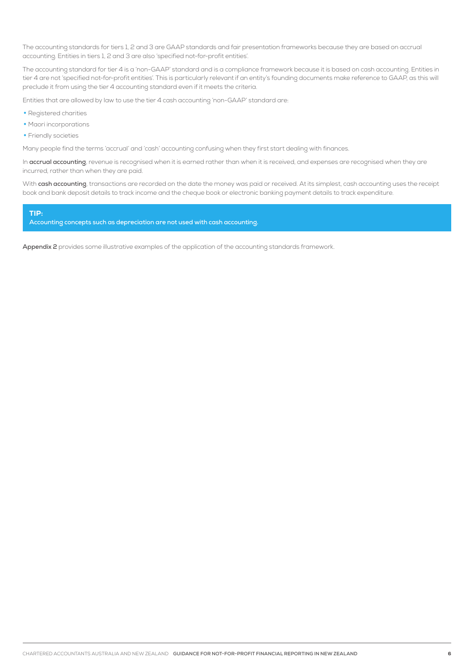The accounting standards for tiers 1, 2 and 3 are GAAP standards and fair presentation frameworks because they are based on accrual accounting. Entities in tiers 1, 2 and 3 are also 'specified not-for-profit entities'.

The accounting standard for tier 4 is a 'non-GAAP' standard and is a compliance framework because it is based on cash accounting. Entities in tier 4 are not 'specified not-for-profit entities'. This is particularly relevant if an entity's founding documents make reference to GAAP, as this will preclude it from using the tier 4 accounting standard even if it meets the criteria.

Entities that are allowed by law to use the tier 4 cash accounting 'non-GAAP' standard are:

- •Registered charities
- •Maori incorporations
- Friendly societies

Many people find the terms 'accrual' and 'cash' accounting confusing when they first start dealing with finances.

In **accrual accounting**, revenue is recognised when it is earned rather than when it is received, and expenses are recognised when they are incurred, rather than when they are paid.

With cash accounting, transactions are recorded on the date the money was paid or received. At its simplest, cash accounting uses the receipt book and bank deposit details to track income and the cheque book or electronic banking payment details to track expenditure.

### TIP: **Accounting concepts such as depreciation are not used with cash accounting.**

**Appendix 2** provides some illustrative examples of the application of the accounting standards framework.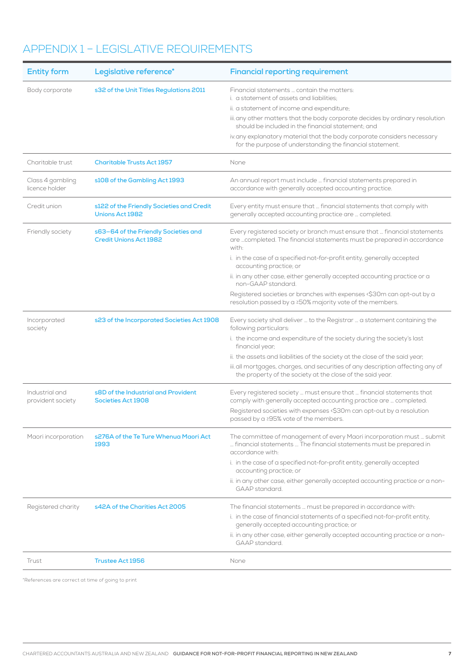# APPENDIX 1 – LEGISLATIVE REQUIREMENTS

| <b>Entity form</b>                  | Legislative reference*                                                | <b>Financial reporting requirement</b>                                                                                                                          |
|-------------------------------------|-----------------------------------------------------------------------|-----------------------------------------------------------------------------------------------------------------------------------------------------------------|
| Body corporate                      | s32 of the Unit Titles Regulations 2011                               | Financial statements  contain the matters:<br>i. a statement of assets and liabilities;                                                                         |
|                                     |                                                                       | ii. a statement of income and expenditure;                                                                                                                      |
|                                     |                                                                       | iii. any other matters that the body corporate decides by ordinary resolution<br>should be included in the financial statement; and                             |
|                                     |                                                                       | iv.any explanatory material that the body corporate considers necessary<br>for the purpose of understanding the financial statement.                            |
| Charitable trust                    | <b>Charitable Trusts Act 1957</b>                                     | None                                                                                                                                                            |
| Class 4 gambling<br>licence holder  | s108 of the Gambling Act 1993                                         | An annual report must include  financial statements prepared in<br>accordance with generally accepted accounting practice.                                      |
| Credit union                        | s122 of the Friendly Societies and Credit<br>Unions Act 1982          | Every entity must ensure that  financial statements that comply with<br>generally accepted accounting practice are  completed.                                  |
| Friendly society                    | s63-64 of the Friendly Societies and<br><b>Credit Unions Act 1982</b> | Every registered society or branch must ensure that  financial statements<br>are completed. The financial statements must be prepared in accordance<br>with:    |
|                                     |                                                                       | i. in the case of a specified not-for-profit entity, generally accepted<br>accounting practice; or                                                              |
|                                     |                                                                       | ii. in any other case, either generally accepted accounting practice or a<br>non-GAAP standard                                                                  |
|                                     |                                                                       | Registered societies or branches with expenses <\$30m can opt-out by a<br>resolution passed by a 250% majority vote of the members.                             |
| Incorporated<br>society             | s23 of the Incorporated Societies Act 1908                            | Every society shall deliver  to the Registrar  a statement containing the<br>following particulars:                                                             |
|                                     |                                                                       | i. the income and expenditure of the society during the society's last<br>financial year;                                                                       |
|                                     |                                                                       | ii. the assets and liabilities of the society at the close of the said year;                                                                                    |
|                                     |                                                                       | iii. all mortgages, charges, and securities of any description affecting any of<br>the property of the society at the close of the said year.                   |
| Industrial and<br>provident society | s8D of the Industrial and Provident<br>Societies Act 1908             | Every registered society  must ensure that  financial statements that<br>comply with generally accepted accounting practice are  completed.                     |
|                                     |                                                                       | Registered societies with expenses <\$30m can opt-out by a resolution<br>passed by a ≥95% vote of the members.                                                  |
| Maori incorporation                 | s276A of the Te Ture Whenua Maori Act<br>1993                         | The committee of management of every Maori incorporation must  submit<br>financial statements  The financial statements must be prepared in<br>accordance with: |
|                                     |                                                                       | i. in the case of a specified not-for-profit entity, generally accepted<br>accounting practice; or                                                              |
|                                     |                                                                       | ii. in any other case, either generally accepted accounting practice or a non-<br>GAAP standard.                                                                |
| Registered charity                  | s42A of the Charities Act 2005                                        | The financial statements  must be prepared in accordance with:                                                                                                  |
|                                     |                                                                       | i. in the case of financial statements of a specified not-for-profit entity,<br>generally accepted accounting practice; or                                      |
|                                     |                                                                       | ii. in any other case, either generally accepted accounting practice or a non-<br>GAAP standard.                                                                |
| Trust                               | <b>Trustee Act 1956</b>                                               | None                                                                                                                                                            |

\*References are correct at time of going to print